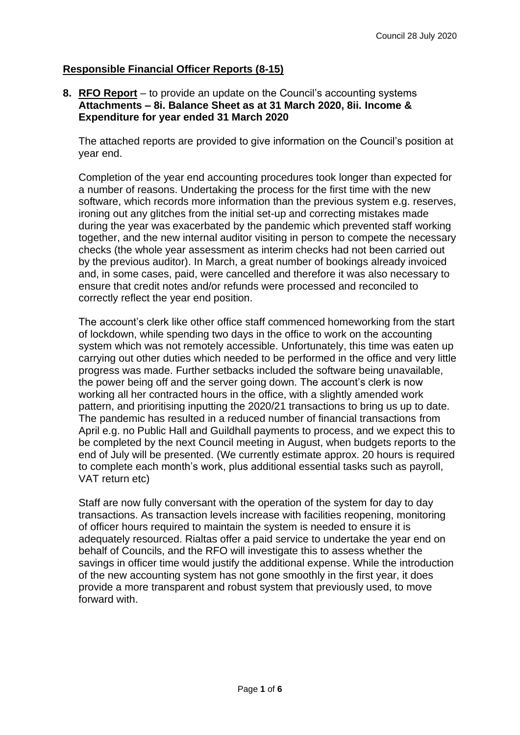# **Responsible Financial Officer Reports (8-15)**

#### **8. RFO Report** – to provide an update on the Council's accounting systems **Attachments – 8i. Balance Sheet as at 31 March 2020, 8ii. Income & Expenditure for year ended 31 March 2020**

The attached reports are provided to give information on the Council's position at year end.

Completion of the year end accounting procedures took longer than expected for a number of reasons. Undertaking the process for the first time with the new software, which records more information than the previous system e.g. reserves, ironing out any glitches from the initial set-up and correcting mistakes made during the year was exacerbated by the pandemic which prevented staff working together, and the new internal auditor visiting in person to compete the necessary checks (the whole year assessment as interim checks had not been carried out by the previous auditor). In March, a great number of bookings already invoiced and, in some cases, paid, were cancelled and therefore it was also necessary to ensure that credit notes and/or refunds were processed and reconciled to correctly reflect the year end position.

The account's clerk like other office staff commenced homeworking from the start of lockdown, while spending two days in the office to work on the accounting system which was not remotely accessible. Unfortunately, this time was eaten up carrying out other duties which needed to be performed in the office and very little progress was made. Further setbacks included the software being unavailable, the power being off and the server going down. The account's clerk is now working all her contracted hours in the office, with a slightly amended work pattern, and prioritising inputting the 2020/21 transactions to bring us up to date. The pandemic has resulted in a reduced number of financial transactions from April e.g. no Public Hall and Guildhall payments to process, and we expect this to be completed by the next Council meeting in August, when budgets reports to the end of July will be presented. (We currently estimate approx. 20 hours is required to complete each month's work, plus additional essential tasks such as payroll, VAT return etc)

Staff are now fully conversant with the operation of the system for day to day transactions. As transaction levels increase with facilities reopening, monitoring of officer hours required to maintain the system is needed to ensure it is adequately resourced. Rialtas offer a paid service to undertake the year end on behalf of Councils, and the RFO will investigate this to assess whether the savings in officer time would justify the additional expense. While the introduction of the new accounting system has not gone smoothly in the first year, it does provide a more transparent and robust system that previously used, to move forward with.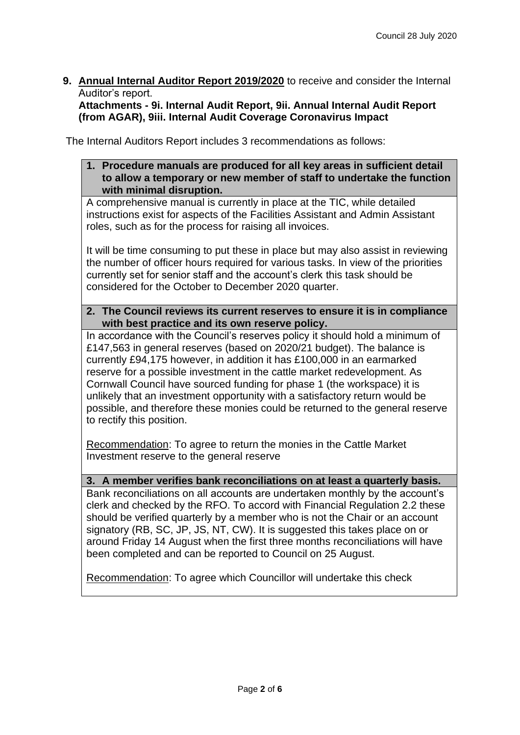**9. Annual Internal Auditor Report 2019/2020** to receive and consider the Internal Auditor's report.

## **Attachments - 9i. Internal Audit Report, 9ii. Annual Internal Audit Report (from AGAR), 9iii. Internal Audit Coverage Coronavirus Impact**

The Internal Auditors Report includes 3 recommendations as follows:

**1. Procedure manuals are produced for all key areas in sufficient detail to allow a temporary or new member of staff to undertake the function with minimal disruption.** 

A comprehensive manual is currently in place at the TIC, while detailed instructions exist for aspects of the Facilities Assistant and Admin Assistant roles, such as for the process for raising all invoices.

It will be time consuming to put these in place but may also assist in reviewing the number of officer hours required for various tasks. In view of the priorities currently set for senior staff and the account's clerk this task should be considered for the October to December 2020 quarter.

**2. The Council reviews its current reserves to ensure it is in compliance with best practice and its own reserve policy.** 

In accordance with the Council's reserves policy it should hold a minimum of £147,563 in general reserves (based on 2020/21 budget). The balance is currently £94,175 however, in addition it has £100,000 in an earmarked reserve for a possible investment in the cattle market redevelopment. As Cornwall Council have sourced funding for phase 1 (the workspace) it is unlikely that an investment opportunity with a satisfactory return would be possible, and therefore these monies could be returned to the general reserve to rectify this position.

Recommendation: To agree to return the monies in the Cattle Market Investment reserve to the general reserve

**3. A member verifies bank reconciliations on at least a quarterly basis.** 

Bank reconciliations on all accounts are undertaken monthly by the account's clerk and checked by the RFO. To accord with Financial Regulation 2.2 these should be verified quarterly by a member who is not the Chair or an account signatory (RB, SC, JP, JS, NT, CW). It is suggested this takes place on or around Friday 14 August when the first three months reconciliations will have been completed and can be reported to Council on 25 August.

Recommendation: To agree which Councillor will undertake this check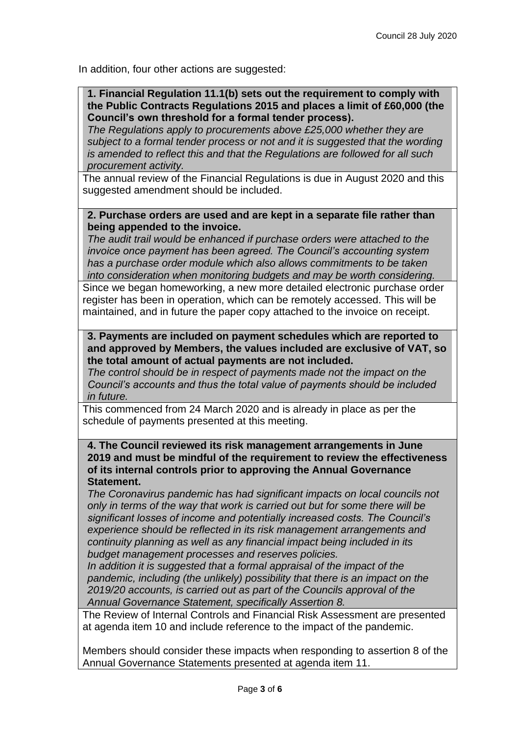In addition, four other actions are suggested:

**1. Financial Regulation 11.1(b) sets out the requirement to comply with the Public Contracts Regulations 2015 and places a limit of £60,000 (the Council's own threshold for a formal tender process).** 

*The Regulations apply to procurements above £25,000 whether they are subject to a formal tender process or not and it is suggested that the wording is amended to reflect this and that the Regulations are followed for all such procurement activity.* 

The annual review of the Financial Regulations is due in August 2020 and this suggested amendment should be included.

#### **2. Purchase orders are used and are kept in a separate file rather than being appended to the invoice.**

*The audit trail would be enhanced if purchase orders were attached to the invoice once payment has been agreed. The Council's accounting system has a purchase order module which also allows commitments to be taken into consideration when monitoring budgets and may be worth considering.* 

Since we began homeworking, a new more detailed electronic purchase order register has been in operation, which can be remotely accessed. This will be maintained, and in future the paper copy attached to the invoice on receipt.

#### **3. Payments are included on payment schedules which are reported to and approved by Members, the values included are exclusive of VAT, so the total amount of actual payments are not included.**

*The control should be in respect of payments made not the impact on the Council's accounts and thus the total value of payments should be included in future.* 

This commenced from 24 March 2020 and is already in place as per the schedule of payments presented at this meeting.

**4. The Council reviewed its risk management arrangements in June 2019 and must be mindful of the requirement to review the effectiveness of its internal controls prior to approving the Annual Governance Statement.** 

*The Coronavirus pandemic has had significant impacts on local councils not only in terms of the way that work is carried out but for some there will be significant losses of income and potentially increased costs. The Council's experience should be reflected in its risk management arrangements and continuity planning as well as any financial impact being included in its budget management processes and reserves policies.* 

*In addition it is suggested that a formal appraisal of the impact of the pandemic, including (the unlikely) possibility that there is an impact on the 2019/20 accounts, is carried out as part of the Councils approval of the Annual Governance Statement, specifically Assertion 8.* 

The Review of Internal Controls and Financial Risk Assessment are presented at agenda item 10 and include reference to the impact of the pandemic.

Members should consider these impacts when responding to assertion 8 of the Annual Governance Statements presented at agenda item 11.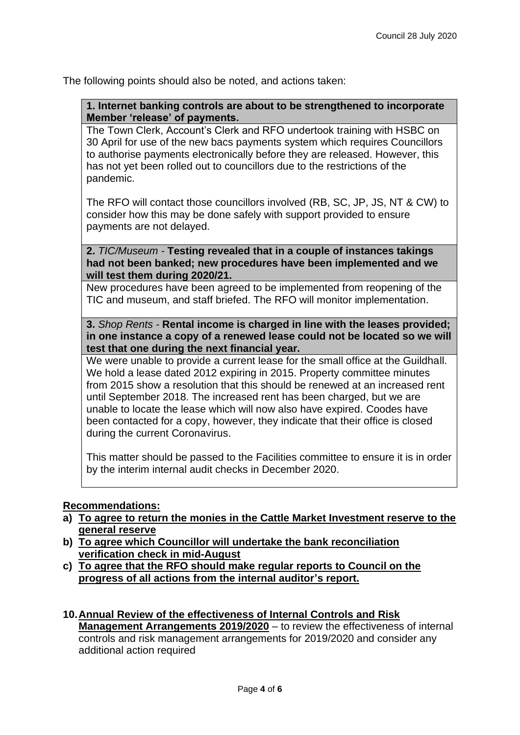The following points should also be noted, and actions taken:

**1. Internet banking controls are about to be strengthened to incorporate Member 'release' of payments.** 

The Town Clerk, Account's Clerk and RFO undertook training with HSBC on 30 April for use of the new bacs payments system which requires Councillors to authorise payments electronically before they are released. However, this has not yet been rolled out to councillors due to the restrictions of the pandemic.

The RFO will contact those councillors involved (RB, SC, JP, JS, NT & CW) to consider how this may be done safely with support provided to ensure payments are not delayed.

**2.** *TIC/Museum -* **Testing revealed that in a couple of instances takings had not been banked; new procedures have been implemented and we will test them during 2020/21.**

New procedures have been agreed to be implemented from reopening of the TIC and museum, and staff briefed. The RFO will monitor implementation.

**3.** *Shop Rents -* **Rental income is charged in line with the leases provided; in one instance a copy of a renewed lease could not be located so we will test that one during the next financial year.**

We were unable to provide a current lease for the small office at the Guildhall. We hold a lease dated 2012 expiring in 2015. Property committee minutes from 2015 show a resolution that this should be renewed at an increased rent until September 2018. The increased rent has been charged, but we are unable to locate the lease which will now also have expired. Coodes have been contacted for a copy, however, they indicate that their office is closed during the current Coronavirus.

This matter should be passed to the Facilities committee to ensure it is in order by the interim internal audit checks in December 2020.

### **Recommendations:**

- **a) To agree to return the monies in the Cattle Market Investment reserve to the general reserve**
- **b) To agree which Councillor will undertake the bank reconciliation verification check in mid-August**
- **c) To agree that the RFO should make regular reports to Council on the progress of all actions from the internal auditor's report.**
- **10.Annual Review of the effectiveness of Internal Controls and Risk Management Arrangements 2019/2020** – to review the effectiveness of internal controls and risk management arrangements for 2019/2020 and consider any additional action required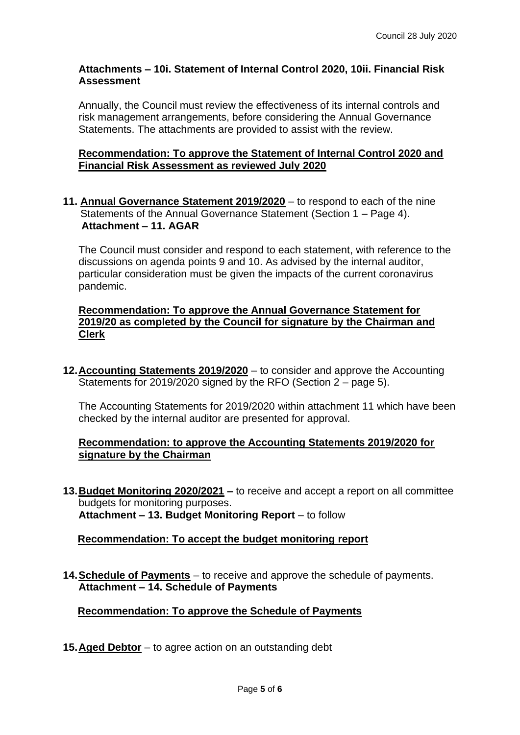## **Attachments – 10i. Statement of Internal Control 2020, 10ii. Financial Risk Assessment**

Annually, the Council must review the effectiveness of its internal controls and risk management arrangements, before considering the Annual Governance Statements. The attachments are provided to assist with the review.

### **Recommendation: To approve the Statement of Internal Control 2020 and Financial Risk Assessment as reviewed July 2020**

### **11. Annual Governance Statement 2019/2020** – to respond to each of the nine Statements of the Annual Governance Statement (Section 1 – Page 4). **Attachment – 11. AGAR**

The Council must consider and respond to each statement, with reference to the discussions on agenda points 9 and 10. As advised by the internal auditor, particular consideration must be given the impacts of the current coronavirus pandemic.

### **Recommendation: To approve the Annual Governance Statement for 2019/20 as completed by the Council for signature by the Chairman and Clerk**

**12.Accounting Statements 2019/2020** – to consider and approve the Accounting Statements for 2019/2020 signed by the RFO (Section 2 – page 5).

The Accounting Statements for 2019/2020 within attachment 11 which have been checked by the internal auditor are presented for approval.

### **Recommendation: to approve the Accounting Statements 2019/2020 for signature by the Chairman**

**13.Budget Monitoring 2020/2021 –** to receive and accept a report on all committee budgets for monitoring purposes. **Attachment – 13. Budget Monitoring Report** – to follow

## **Recommendation: To accept the budget monitoring report**

**14.Schedule of Payments** – to receive and approve the schedule of payments. **Attachment – 14. Schedule of Payments**

**Recommendation: To approve the Schedule of Payments**

**15.Aged Debtor** – to agree action on an outstanding debt